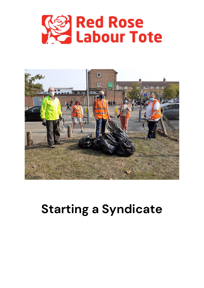



## **Starting a Syndicate**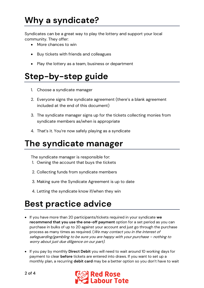## **Why a syndicate?**

Syndicates can be a great way to play the lottery and support your local community. They offer:

- More chances to win
- Buy tickets with friends and colleagues
- Play the lottery as a team, business or department

### **Step-by-step guide**

- 1. Choose a syndicate manager
- 2. Everyone signs the syndicate agreement (there's a blank agreement included at the end of this document)
- 3. The syndicate manager signs up for the tickets collecting monies from syndicate members as/when is appropriate
- 4. That's it. You're now safely playing as a syndicate

#### **The syndicate manager**

The syndicate manager is responsible for:

- 1. Owning the account that buys the tickets
- 2. Collecting funds from syndicate members
- 3. Making sure the Syndicate Agreement is up to date
- 4. Letting the syndicate know if/when they win

### **Best practice advice**

- If you have more than 20 participants/tickets required in your syndicate **we recommend that you use the one-off payment** option for a set period as you can purchase in bulks of up to 20 against your account and just go through the purchase process as many times as required. (We may contact you in the interest of safeguarding/gambling to be sure you are happy with your purchase – nothing to worry about just due diligence on our part).
- If you pay by monthly **Direct Debit** you will need to wait around 10 working days for payment to clear **before** tickets are entered into draws. If you want to set up a monthly plan, a recurring **debit card** may be a better option so you don't have to wait

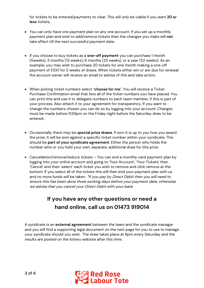for tickets to be entered/payments to clear. This will only be viable if you want **20 or less** tickets.

- You can only have one payment plan on any one account. If you set up a monthly payment plan and wish to add/remove tickets then the changes you make will **not** take effect till the next successful payment date.
- If you choose to buy tickets as a **one-off payment** you can purchase 1 month (5weeks), 3 months (13 weeks), 6 months (25 weeks), or a year (52 weeks). As an example, you may wish to purchase 20 tickets for one month making a one-off payment of £100 for 5 weeks of draws. When tickets either win or are due for renewal the account owner will receive an email to advise of this and take action.
- When picking ticket numbers select **'choose for me'**. You will receive a Ticket Purchase Confirmation email that lists all of the ticket numbers you have placed. You can print this and use it to delegate numbers to each team member, if this is part of your process. Also attach it to your agreement for transparency. If you want to change the numbers chosen you can do so by logging into your account. Changes must be made before 11:59pm on the Friday night before the Saturday draw to be entered.
- Occasionally there may be **special prize draws**. If won it is up to you how you award the prize. It will be won against a specific ticket number within your syndicate. This should be **part of your syndicate agreement**. Either the person who holds the number wins or you hold your own, separate, additional draw for this prize.
- Cancellation/remove/reduce tickets You can end a monthly card payment plan by logging into your online account and going to 'Your Account', 'Your Tickets' then 'Cancel' and then 'select' each ticket you wish to remove and click remove at the bottom. If you select all of the tickets this will then end your payment plan with us and no more funds will be taken. \*If you pay by Direct Debit then you will need to ensure this has been done three working days before your payment date, otherwise we advise that you cancel your Direct Debit with your bank

#### **If you have any other questions or need a hand online, call us on 01473 919014**

A syndicate is an **external agreement** between the team and the syndicate manager and you will find a supporting legal document on the next page for you to use to manage your syndicate should you wish. The draw takes place at 8pm every Saturday and the results are posted on the lottery website after this time.